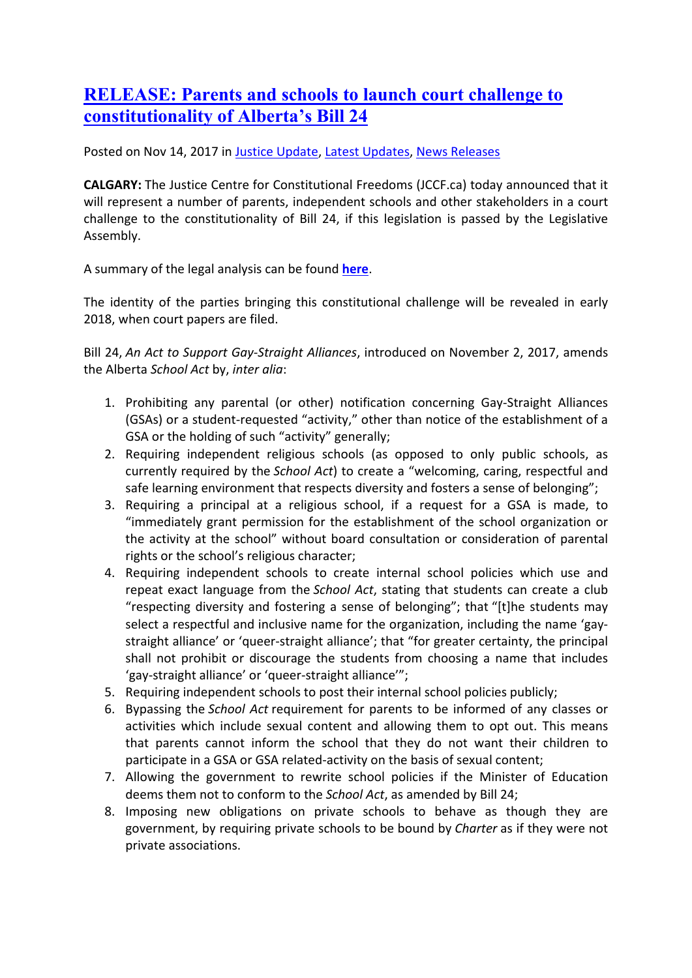## **[RELEASE: Parents and schools to launch court challenge to](https://www.jccf.ca/release-parents-and-schools-to-launch-court-challenge-to-constitutionality-of-albertas-bill-24/)  [constitutionality of Alberta's Bill 24](https://www.jccf.ca/release-parents-and-schools-to-launch-court-challenge-to-constitutionality-of-albertas-bill-24/)**

Posted on Nov 14, 2017 in [Justice Update,](https://www.jccf.ca/category/justice-update/) [Latest Updates,](https://www.jccf.ca/category/latest-updates/) [News Releases](https://www.jccf.ca/category/news-releases/)

**CALGARY:** The Justice Centre for Constitutional Freedoms (JCCF.ca) today announced that it will represent a number of parents, independent schools and other stakeholders in a court challenge to the constitutionality of Bill 24, if this legislation is passed by the Legislative Assembly.

A summary of the legal analysis can be found **[here](https://www.jccf.ca/wp-content/uploads/2017/11/Unconstitutional-how-bill-24-violates-Charter-freedoms-1.pdf)**.

The identity of the parties bringing this constitutional challenge will be revealed in early 2018, when court papers are filed.

Bill 24, *An Act to Support Gay-Straight Alliances*, introduced on November 2, 2017, amends the Alberta *School Act* by, *inter alia*:

- 1. Prohibiting any parental (or other) notification concerning Gay-Straight Alliances (GSAs) or a student-requested "activity," other than notice of the establishment of a GSA or the holding of such "activity" generally;
- 2. Requiring independent religious schools (as opposed to only public schools, as currently required by the *School Act*) to create a "welcoming, caring, respectful and safe learning environment that respects diversity and fosters a sense of belonging";
- 3. Requiring a principal at a religious school, if a request for a GSA is made, to "immediately grant permission for the establishment of the school organization or the activity at the school" without board consultation or consideration of parental rights or the school's religious character;
- 4. Requiring independent schools to create internal school policies which use and repeat exact language from the *School Act*, stating that students can create a club "respecting diversity and fostering a sense of belonging"; that "[t]he students may select a respectful and inclusive name for the organization, including the name 'gaystraight alliance' or 'queer-straight alliance'; that "for greater certainty, the principal shall not prohibit or discourage the students from choosing a name that includes 'gay-straight alliance' or 'queer-straight alliance'";
- 5. Requiring independent schools to post their internal school policies publicly;
- 6. Bypassing the *School Act* requirement for parents to be informed of any classes or activities which include sexual content and allowing them to opt out. This means that parents cannot inform the school that they do not want their children to participate in a GSA or GSA related-activity on the basis of sexual content;
- 7. Allowing the government to rewrite school policies if the Minister of Education deems them not to conform to the *School Act*, as amended by Bill 24;
- 8. Imposing new obligations on private schools to behave as though they are government, by requiring private schools to be bound by *Charter* as if they were not private associations.